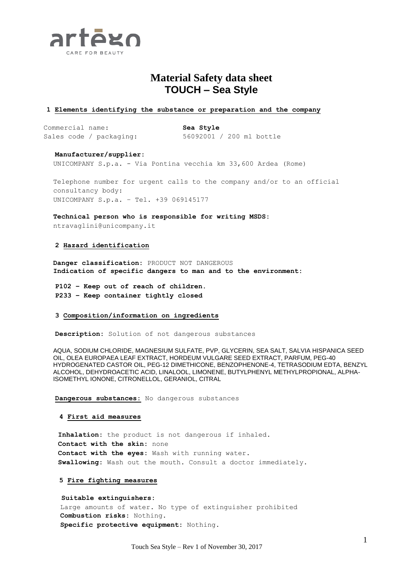

# **Material Safety data sheet TOUCH – Sea Style**

# **1 Elements identifying the substance or preparation and the company**

Commercial name: **Sea Style** Sales code / packaging: 56092001 / 200 ml bottle

**Manufacturer/supplier:**

UNICOMPANY S.p.a. - Via Pontina vecchia km 33,600 Ardea (Rome)

Telephone number for urgent calls to the company and/or to an official consultancy body: UNICOMPANY S.p.a. – Tel. +39 069145177

**Technical person who is responsible for writing MSDS:**

ntravaglini@unicompany.it

## **2 Hazard identification**

**Danger classification:** PRODUCT NOT DANGEROUS **Indication of specific dangers to man and to the environment:**

**P102 – Keep out of reach of children. P233 – Keep container tightly closed**

## **3 Composition/information on ingredients**

**Description:** Solution of not dangerous substances

AQUA, SODIUM CHLORIDE, MAGNESIUM SULFATE, PVP, GLYCERIN, SEA SALT, SALVIA HISPANICA SEED OIL, OLEA EUROPAEA LEAF EXTRACT, HORDEUM VULGARE SEED EXTRACT, PARFUM, PEG-40 HYDROGENATED CASTOR OIL, PEG-12 DIMETHICONE, BENZOPHENONE-4, TETRASODIUM EDTA, BENZYL ALCOHOL, DEHYDROACETIC ACID, LINALOOL, LIMONENE, BUTYLPHENYL METHYLPROPIONAL, ALPHA-ISOMETHYL IONONE, CITRONELLOL, GERANIOL, CITRAL

**Dangerous substances:** No dangerous substances

## **4 First aid measures**

**Inhalation:** the product is not dangerous if inhaled. **Contact with the skin:** none **Contact with the eyes:** Wash with running water. **Swallowing:** Wash out the mouth. Consult a doctor immediately.

## **5 Fire fighting measures**

 **Suitable extinguishers:** Large amounts of water. No type of extinguisher prohibited **Combustion risks:** Nothing. **Specific protective equipment:** Nothing.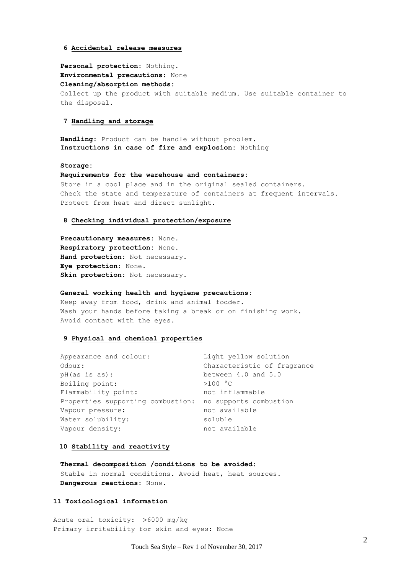#### **6 Accidental release measures**

**Personal protection:** Nothing. **Environmental precautions:** None **Cleaning/absorption methods:** Collect up the product with suitable medium. Use suitable container to the disposal.

## **7 Handling and storage**

**Handling:** Product can be handle without problem. **Instructions in case of fire and explosion:** Nothing

#### **Storage:**

**Requirements for the warehouse and containers:** Store in a cool place and in the original sealed containers. Check the state and temperature of containers at frequent intervals. Protect from heat and direct sunlight.

# **8 Checking individual protection/exposure**

**Precautionary measures:** None. **Respiratory protection:** None. **Hand protection:** Not necessary. **Eye protection:** None. **Skin protection:** Not necessary.

#### **General working health and hygiene precautions:**

Keep away from food, drink and animal fodder. Wash your hands before taking a break or on finishing work. Avoid contact with the eyes.

#### **9 Physical and chemical properties**

| Appearance and colour:                                   | Light yellow solution       |
|----------------------------------------------------------|-----------------------------|
| Odour:                                                   | Characteristic of fragrance |
| pH(as is as):                                            | between 4.0 and 5.0         |
| Boiling point:                                           | >100 °C                     |
| Flammability point:                                      | not inflammable             |
| Properties supporting combustion: no supports combustion |                             |
| Vapour pressure:                                         | not available               |
| Water solubility:                                        | soluble                     |
| Vapour density:                                          | not available               |

#### **10 Stability and reactivity**

**Thermal decomposition /conditions to be avoided:** Stable in normal conditions. Avoid heat, heat sources. **Dangerous reactions:** None.

#### **11 Toxicological information**

Acute oral toxicity:  $>6000$  mg/kg Primary irritability for skin and eyes: None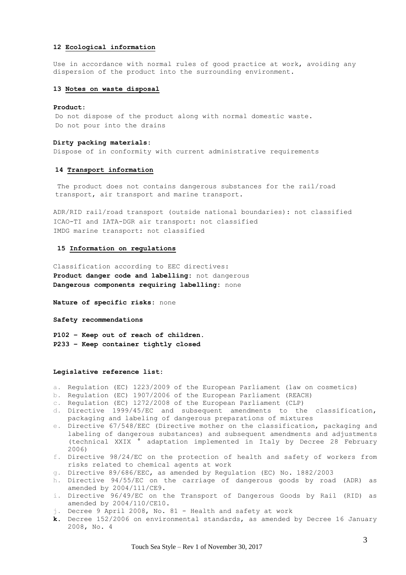### **12 Ecological information**

Use in accordance with normal rules of good practice at work, avoiding any dispersion of the product into the surrounding environment.

## **13 Notes on waste disposal**

#### **Product:**

Do not dispose of the product along with normal domestic waste. Do not pour into the drains

#### **Dirty packing materials:**

Dispose of in conformity with current administrative requirements

#### **14 Transport information**

The product does not contains dangerous substances for the rail/road transport, air transport and marine transport.

ADR/RID rail/road transport (outside national boundaries): not classified ICAO-TI and IATA-DGR air transport: not classified IMDG marine transport: not classified

#### **15 Information on regulations**

Classification according to EEC directives: **Product danger code and labelling:** not dangerous **Dangerous components requiring labelling:** none

**Nature of specific risks:** none

**Safety recommendations** 

**P102 – Keep out of reach of children. P233 – Keep container tightly closed**

#### **Legislative reference list:**

- a. Regulation (EC) 1223/2009 of the European Parliament (law on cosmetics)
- b. Regulation (EC) 1907/2006 of the European Parliament (REACH)
- c. Regulation (EC) 1272/2008 of the European Parliament (CLP)
- d. Directive 1999/45/EC and subsequent amendments to the classification, packaging and labeling of dangerous preparations of mixtures
- e. Directive 67/548/EEC (Directive mother on the classification, packaging and labeling of dangerous substances) and subsequent amendments and adjustments (technical XXIX ° adaptation implemented in Italy by Decree 28 February 2006)
- f. Directive 98/24/EC on the protection of health and safety of workers from risks related to chemical agents at work
- g. Directive 89/686/EEC, as amended by Regulation (EC) No. 1882/2003
- h. Directive 94/55/EC on the carriage of dangerous goods by road (ADR) as amended by 2004/111/CE9.
- i. Directive 96/49/EC on the Transport of Dangerous Goods by Rail (RID) as amended by 2004/110/CE10.
- j. Decree 9 April 2008, No. 81 Health and safety at work
- **k.** Decree 152/2006 on environmental standards, as amended by Decree 16 January 2008, No. 4